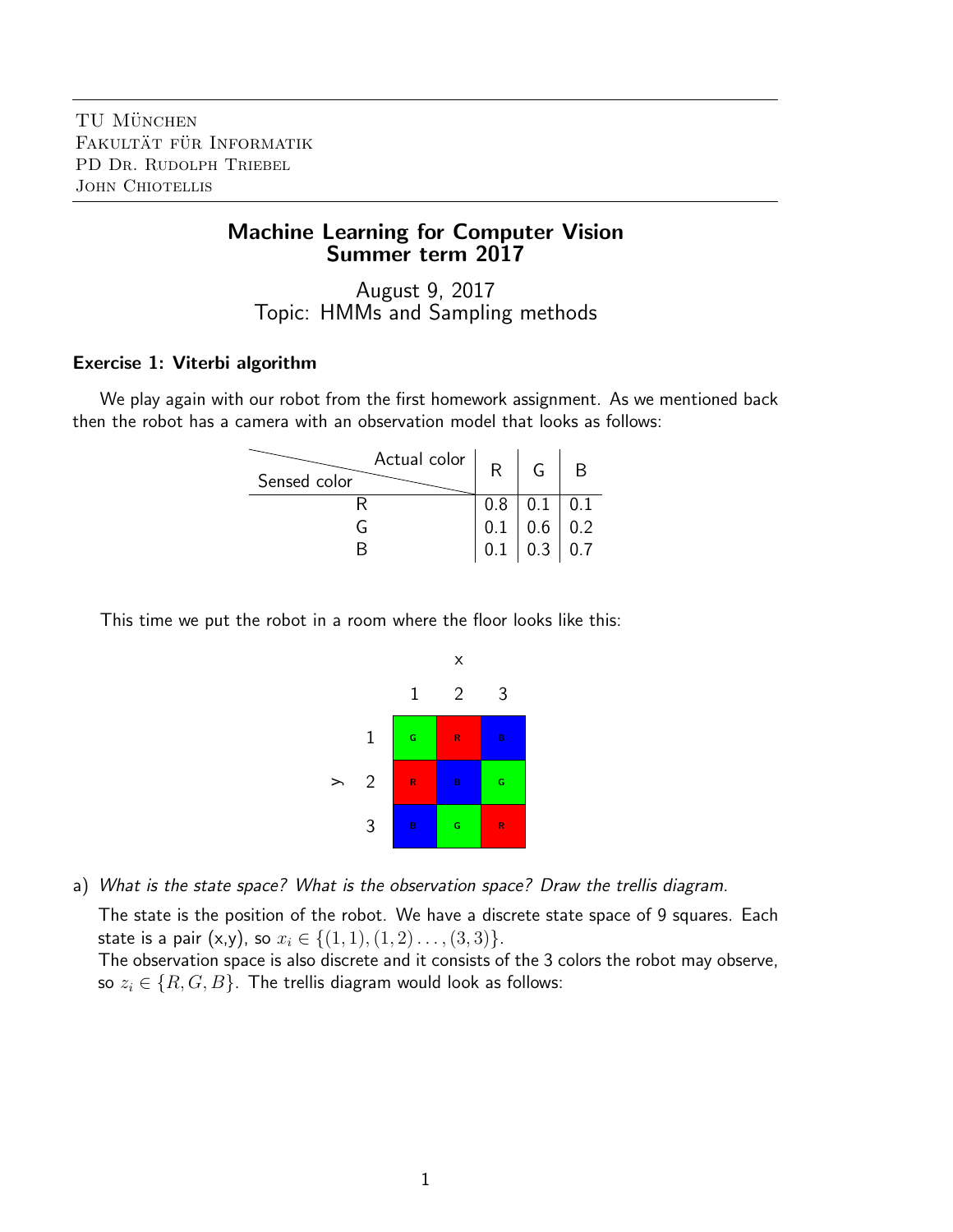# Machine Learning for Computer Vision Summer term 2017

August 9, 2017 Topic: HMMs and Sampling methods

## Exercise 1: Viterbi algorithm

We play again with our robot from the first homework assignment. As we mentioned back then the robot has a camera with an observation model that looks as follows:

| Actual color $ $<br>Sensed color | R   |                                                  |     |
|----------------------------------|-----|--------------------------------------------------|-----|
|                                  | 0.8 | 0.1                                              | 0.1 |
|                                  | 0.1 | $\begin{array}{c c} 0.6 & \ 0.3 & \ \end{array}$ | 0.2 |
|                                  |     |                                                  | 0.7 |

This time we put the robot in a room where the floor looks like this:



a) What is the state space? What is the observation space? Draw the trellis diagram.

The state is the position of the robot. We have a discrete state space of 9 squares. Each state is a pair (x,y), so  $x_i \in \{(1,1), (1, 2) \ldots, (3, 3)\}.$ 

The observation space is also discrete and it consists of the 3 colors the robot may observe, so  $z_i \in \{R, G, B\}$ . The trellis diagram would look as follows: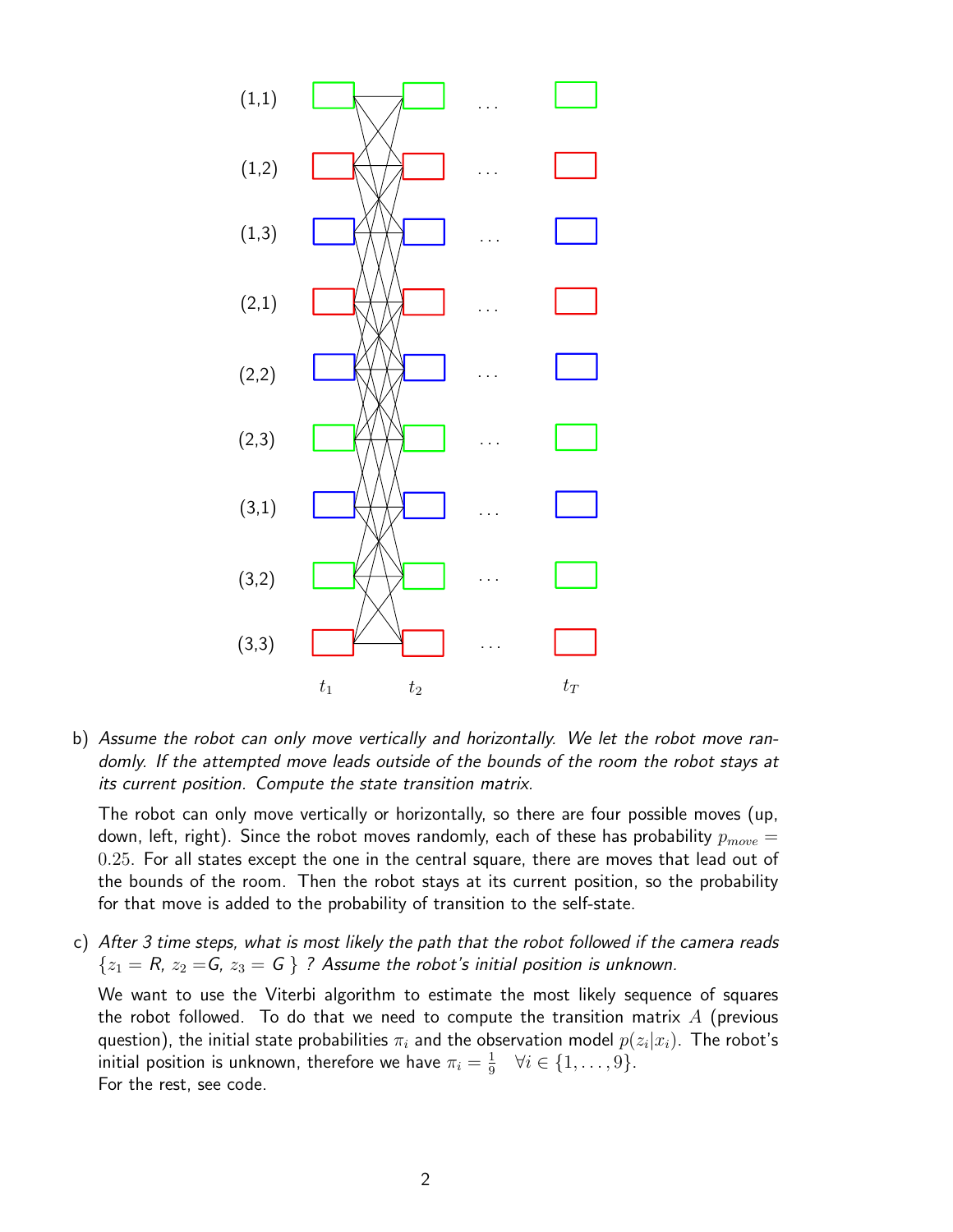

b) Assume the robot can only move vertically and horizontally. We let the robot move randomly. If the attempted move leads outside of the bounds of the room the robot stays at its current position. Compute the state transition matrix.

The robot can only move vertically or horizontally, so there are four possible moves (up, down, left, right). Since the robot moves randomly, each of these has probability  $p_{move} =$ 0.25. For all states except the one in the central square, there are moves that lead out of the bounds of the room. Then the robot stays at its current position, so the probability for that move is added to the probability of transition to the self-state.

c) After 3 time steps, what is most likely the path that the robot followed if the camera reads  ${z_1 = R, z_2 = G, z_3 = G}$  ? Assume the robot's initial position is unknown.

We want to use the Viterbi algorithm to estimate the most likely sequence of squares the robot followed. To do that we need to compute the transition matrix  $A$  (previous question), the initial state probabilities  $\pi_i$  and the observation model  $p(z_i|x_i).$  The robot's initial position is unknown, therefore we have  $\pi_i = \frac{1}{9}$  $\frac{1}{9}$   $\forall i \in \{1, \ldots, 9\}.$ For the rest, see code.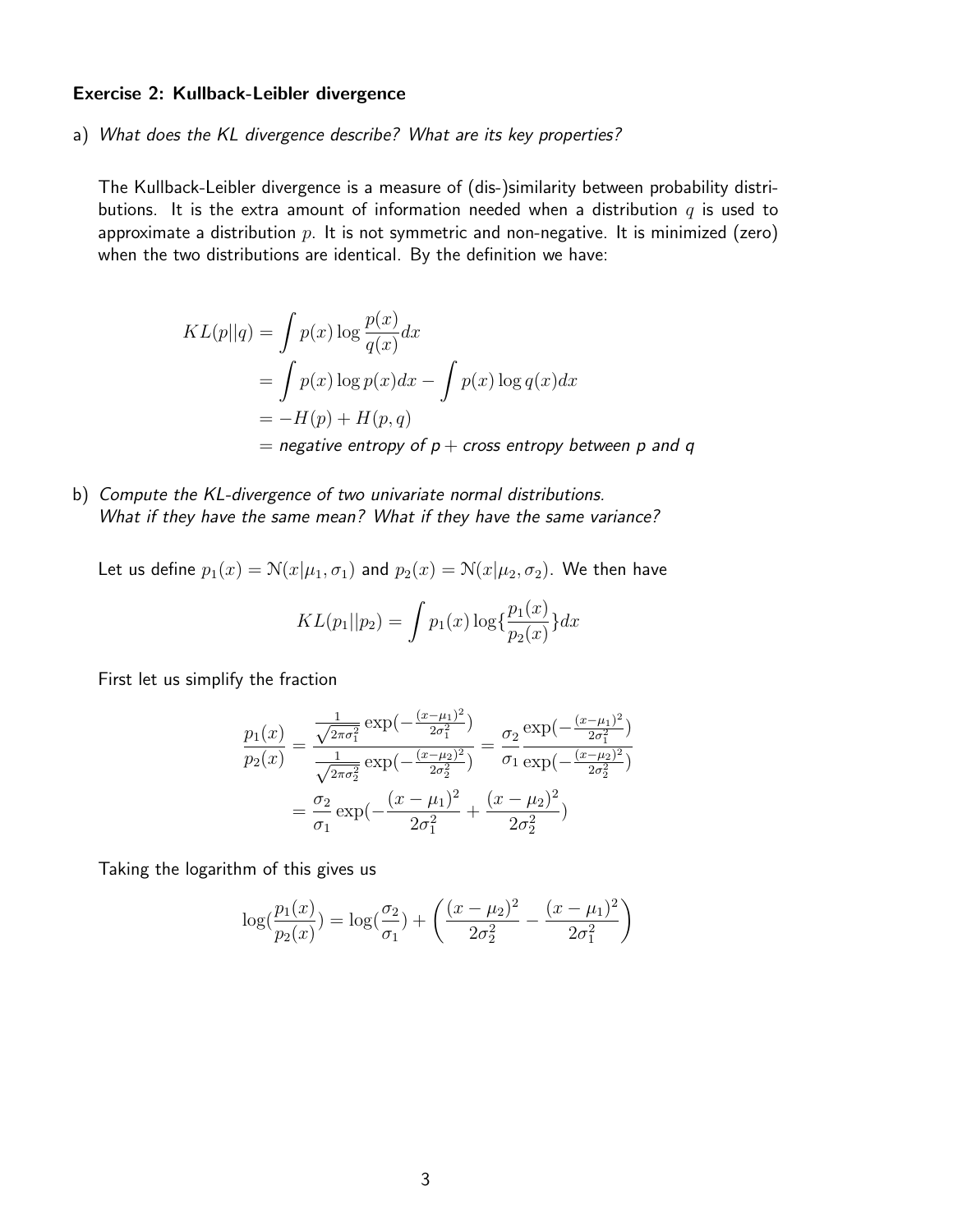#### Exercise 2: Kullback-Leibler divergence

a) What does the KL divergence describe? What are its key properties?

The Kullback-Leibler divergence is a measure of (dis-)similarity between probability distributions. It is the extra amount of information needed when a distribution  $q$  is used to approximate a distribution  $p$ . It is not symmetric and non-negative. It is minimized (zero) when the two distributions are identical. By the definition we have:

$$
KL(p||q) = \int p(x) \log \frac{p(x)}{q(x)} dx
$$
  
= 
$$
\int p(x) \log p(x) dx - \int p(x) \log q(x) dx
$$
  
= 
$$
-H(p) + H(p,q)
$$
  
= negative entropy of p + cross entropy between p and q

b) Compute the KL-divergence of two univariate normal distributions. What if they have the same mean? What if they have the same variance?

Let us define  $p_1(x) = \mathcal{N}(x|\mu_1, \sigma_1)$  and  $p_2(x) = \mathcal{N}(x|\mu_2, \sigma_2)$ . We then have  $KL(p_1||p_2) = \int p_1(x) \log \left( \frac{p_1(x)}{p_2(x)} \right)$  $p_2(x)$  $\}dx$ 

First let us simplify the fraction

$$
\frac{p_1(x)}{p_2(x)} = \frac{\frac{1}{\sqrt{2\pi\sigma_1^2}} \exp\left(-\frac{(x-\mu_1)^2}{2\sigma_1^2}\right)}{\frac{1}{\sqrt{2\pi\sigma_2^2}} \exp\left(-\frac{(x-\mu_2)^2}{2\sigma_2^2}\right)} = \frac{\sigma_2}{\sigma_1} \frac{\exp\left(-\frac{(x-\mu_1)^2}{2\sigma_1^2}\right)}{\exp\left(-\frac{(x-\mu_2)^2}{2\sigma_2^2}\right)}
$$

$$
= \frac{\sigma_2}{\sigma_1} \exp\left(-\frac{(x-\mu_1)^2}{2\sigma_1^2} + \frac{(x-\mu_2)^2}{2\sigma_2^2}\right)
$$

Taking the logarithm of this gives us

$$
\log(\frac{p_1(x)}{p_2(x)}) = \log(\frac{\sigma_2}{\sigma_1}) + \left(\frac{(x-\mu_2)^2}{2\sigma_2^2} - \frac{(x-\mu_1)^2}{2\sigma_1^2}\right)
$$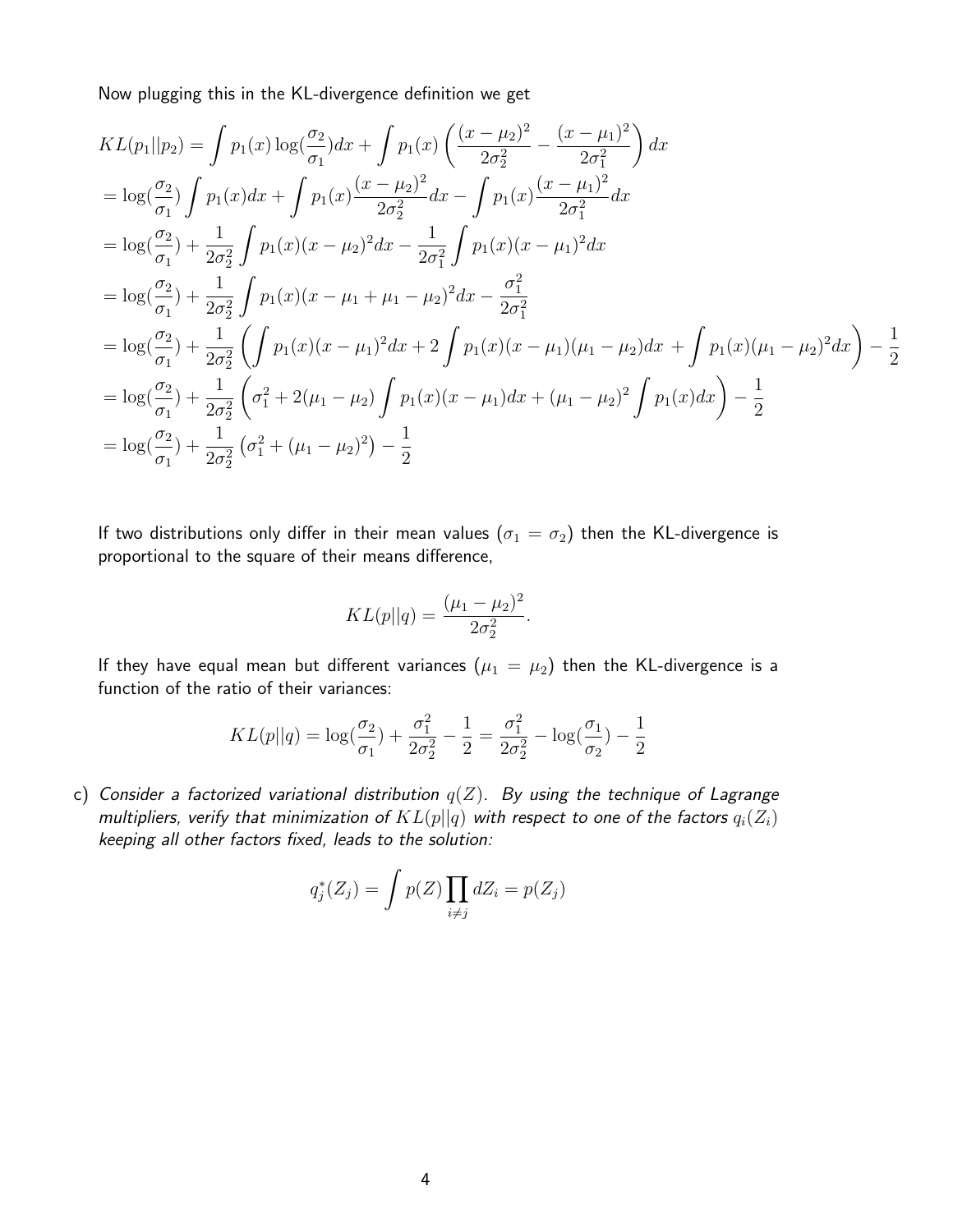Now plugging this in the KL-divergence definition we get

$$
KL(p_1||p_2) = \int p_1(x) \log(\frac{\sigma_2}{\sigma_1}) dx + \int p_1(x) \left(\frac{(x-\mu_2)^2}{2\sigma_2^2} - \frac{(x-\mu_1)^2}{2\sigma_1^2}\right) dx
$$
  
\n
$$
= \log(\frac{\sigma_2}{\sigma_1}) \int p_1(x) dx + \int p_1(x) \frac{(x-\mu_2)^2}{2\sigma_2^2} dx - \int p_1(x) \frac{(x-\mu_1)^2}{2\sigma_1^2} dx
$$
  
\n
$$
= \log(\frac{\sigma_2}{\sigma_1}) + \frac{1}{2\sigma_2^2} \int p_1(x) (x-\mu_2)^2 dx - \frac{1}{2\sigma_1^2} \int p_1(x) (x-\mu_1)^2 dx
$$
  
\n
$$
= \log(\frac{\sigma_2}{\sigma_1}) + \frac{1}{2\sigma_2^2} \int p_1(x) (x-\mu_1 + \mu_1 - \mu_2)^2 dx - \frac{\sigma_1^2}{2\sigma_1^2}
$$
  
\n
$$
= \log(\frac{\sigma_2}{\sigma_1}) + \frac{1}{2\sigma_2^2} \left(\int p_1(x) (x-\mu_1)^2 dx + 2 \int p_1(x) (x-\mu_1)(\mu_1 - \mu_2) dx + \int p_1(x) (\mu_1 - \mu_2)^2 dx\right) - \frac{1}{2}
$$
  
\n
$$
= \log(\frac{\sigma_2}{\sigma_1}) + \frac{1}{2\sigma_2^2} \left(\sigma_1^2 + 2(\mu_1 - \mu_2) \int p_1(x) (x-\mu_1) dx + (\mu_1 - \mu_2)^2 \int p_1(x) dx\right) - \frac{1}{2}
$$
  
\n
$$
= \log(\frac{\sigma_2}{\sigma_1}) + \frac{1}{2\sigma_2^2} (\sigma_1^2 + (\mu_1 - \mu_2)^2) - \frac{1}{2}
$$
  
\n
$$
= \log(\frac{\sigma_2}{\sigma_1}) + \frac{1}{2\sigma_2^2} (\sigma_1^2 + (\mu_1 - \mu_2)^2) - \frac{1}{2}
$$

If two distributions only differ in their mean values  $(\sigma_1 = \sigma_2)$  then the KL-divergence is proportional to the square of their means difference,

$$
KL(p||q) = \frac{(\mu_1 - \mu_2)^2}{2\sigma_2^2}.
$$

If they have equal mean but different variances  $(\mu_1 = \mu_2)$  then the KL-divergence is a function of the ratio of their variances:

$$
KL(p||q) = \log(\frac{\sigma_2}{\sigma_1}) + \frac{\sigma_1^2}{2\sigma_2^2} - \frac{1}{2} = \frac{\sigma_1^2}{2\sigma_2^2} - \log(\frac{\sigma_1}{\sigma_2}) - \frac{1}{2}
$$

c) Consider a factorized variational distribution  $q(Z)$ . By using the technique of Lagrange multipliers, verify that minimization of  $KL(p||q)$  with respect to one of the factors  $q_i(Z_i)$ keeping all other factors fixed, leads to the solution:

$$
q_j^*(Z_j) = \int p(Z) \prod_{i \neq j} dZ_i = p(Z_j)
$$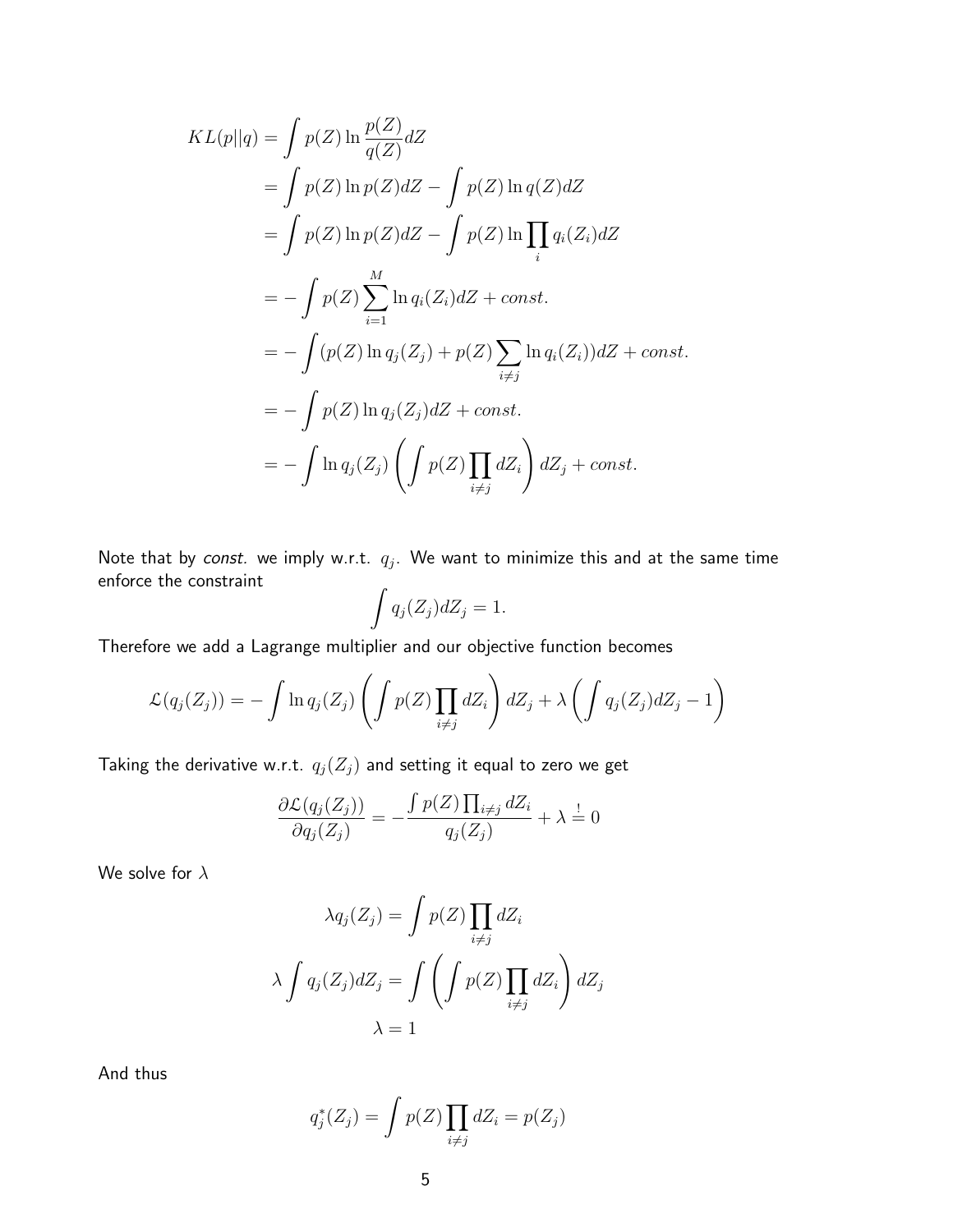$$
KL(p||q) = \int p(Z) \ln \frac{p(Z)}{q(Z)} dZ
$$
  
= 
$$
\int p(Z) \ln p(Z) dZ - \int p(Z) \ln q(Z) dZ
$$
  
= 
$$
\int p(Z) \ln p(Z) dZ - \int p(Z) \ln \prod_i q_i(Z_i) dZ
$$
  
= 
$$
-\int p(Z) \sum_{i=1}^{M} \ln q_i(Z_i) dZ + const.
$$
  
= 
$$
-\int (p(Z) \ln q_j(Z_j) + p(Z) \sum_{i \neq j} \ln q_i(Z_i)) dZ + const.
$$
  
= 
$$
-\int p(Z) \ln q_j(Z_j) dZ + const.
$$
  
= 
$$
-\int \ln q_j(Z_j) \left( \int p(Z) \prod_{i \neq j} dZ_i \right) dZ_j + const.
$$

Note that by *const.* we imply w.r.t.  $q_j$ . We want to minimize this and at the same time enforce the constraint

$$
\int q_j(Z_j)dZ_j=1.
$$

Therefore we add a Lagrange multiplier and our objective function becomes

$$
\mathcal{L}(q_j(Z_j)) = -\int \ln q_j(Z_j) \left( \int p(Z) \prod_{i \neq j} dZ_i \right) dZ_j + \lambda \left( \int q_j(Z_j) dZ_j - 1 \right)
$$

Taking the derivative w.r.t.  $q_j(Z_j)$  and setting it equal to zero we get

$$
\frac{\partial \mathcal{L}(q_j(Z_j))}{\partial q_j(Z_j)} = -\frac{\int p(Z) \prod_{i \neq j} dZ_i}{q_j(Z_j)} + \lambda \stackrel{!}{=} 0
$$

We solve for  $\lambda$ 

$$
\lambda q_j(Z_j) = \int p(Z) \prod_{i \neq j} dZ_i
$$

$$
\lambda \int q_j(Z_j) dZ_j = \int \left( \int p(Z) \prod_{i \neq j} dZ_i \right) dZ_j
$$

$$
\lambda = 1
$$

And thus

$$
q_j^*(Z_j) = \int p(Z) \prod_{i \neq j} dZ_i = p(Z_j)
$$